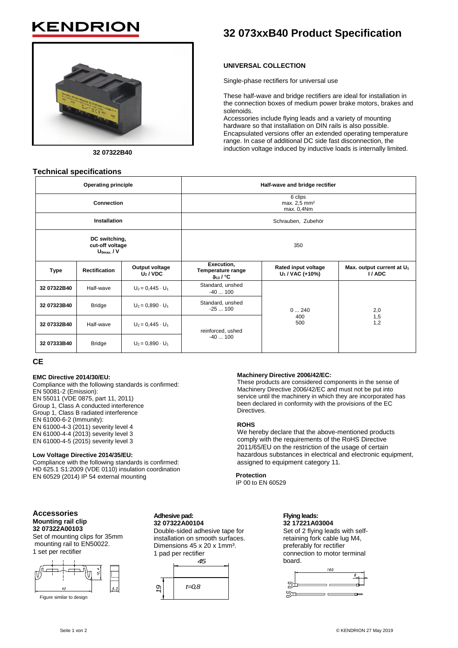## KENDRI



**32 07322B40**

#### **Technical specifications**

## **32 073xxB40 Product Specification**

#### **UNIVERSAL COLLECTION**

Single-phase rectifiers for universal use

These half-wave and bridge rectifiers are ideal for installation in the connection boxes of medium power brake motors, brakes and solenoids.

Accessories include flying leads and a variety of mounting hardware so that installation on DIN rails is also possible. Encapsulated versions offer an extended operating temperature range. In case of additional DC side fast disconnection, the induction voltage induced by inductive loads is internally limited.

| <b>Operating principle</b>                         |                      |                              | Half-wave and bridge rectifier                             |                                           |                                                |
|----------------------------------------------------|----------------------|------------------------------|------------------------------------------------------------|-------------------------------------------|------------------------------------------------|
| <b>Connection</b>                                  |                      |                              | 6 clips<br>max. 2,5 mm <sup>2</sup><br>max. 0,4Nm          |                                           |                                                |
| <b>Installation</b>                                |                      |                              | Schrauben, Zubehör                                         |                                           |                                                |
| DC switching,<br>cut-off voltage<br>$U_{0max}$ / V |                      |                              | 350                                                        |                                           |                                                |
| <b>Type</b>                                        | <b>Rectification</b> | Output voltage<br>$U_2$ /VDC | Execution,<br>Temperature range<br>$9_{13}$ / $^{\circ}$ C | Rated input voltage<br>$U_1$ / VAC (+10%) | Max. output current at U <sub>1</sub><br>I/ADC |
| 32 07322B40                                        | Half-wave            | $U_2 = 0,445 \cdot U_1$      | Standard, unshed<br>$-40100$                               | 0240<br>400<br>500                        |                                                |
| 32 07323B40                                        | <b>Bridge</b>        | $U_2 = 0.890 \cdot U_1$      | Standard, unshed<br>$-25100$                               |                                           | 2,0<br>1,5<br>1,2                              |
| 32 07332B40                                        | Half-wave            | $U_2 = 0.445 \cdot U_1$      | reinforced, ushed<br>$-40100$                              |                                           |                                                |
| 32 07333B40                                        | <b>Bridge</b>        | $U_2 = 0,890 \cdot U_1$      |                                                            |                                           |                                                |

#### **CE**

#### **EMC Directive 2014/30/EU:**

Compliance with the following standards is confirmed: EN 50081-2 (Emission): EN 55011 (VDE 0875, part 11, 2011) Group 1, Class A conducted interference Group 1, Class B radiated interference EN 61000-6-2 (Immunity): EN 61000-4-3 (2011) severity level 4 EN 61000-4-4 (2013) severity level 3 EN 61000-4-5 (2015) severity level 3

#### **Low Voltage Directive 2014/35/EU:**

Compliance with the following standards is confirmed: HD 625.1 S1:2009 (VDE 0110) insulation coordination EN 60529 (2014) IP 54 external mounting

#### **Accessories Mounting rail clip 32 07322A00103**

Set of mounting clips for 35mm mounting rail to EN50022. 1 set per rectifier



Figure similar to design

**Adhesive pad: 32 07322A00104**

Double-sided adhesive tape for installation on smooth surfaces. Dimensions 45 x 20 x 1mm<sup>3</sup>. 1 pad per rectifier



#### **Machinery Directive 2006/42/EC:**

These products are considered components in the sense of Machinery Directive 2006/42/EC and must not be put into service until the machinery in which they are incorporated has been declared in conformity with the provisions of the EC Directives.

#### **ROHS**

We hereby declare that the above-mentioned products comply with the requirements of the RoHS Directive 2011/65/EU on the restriction of the usage of certain hazardous substances in electrical and electronic equipment, assigned to equipment category 11.

**Protection** IP 00 to EN 60529

#### **Flying leads: 32 17221A03004**

Set of 2 flying leads with selfretaining fork cable lug M4, preferably for rectifier connection to motor terminal board.